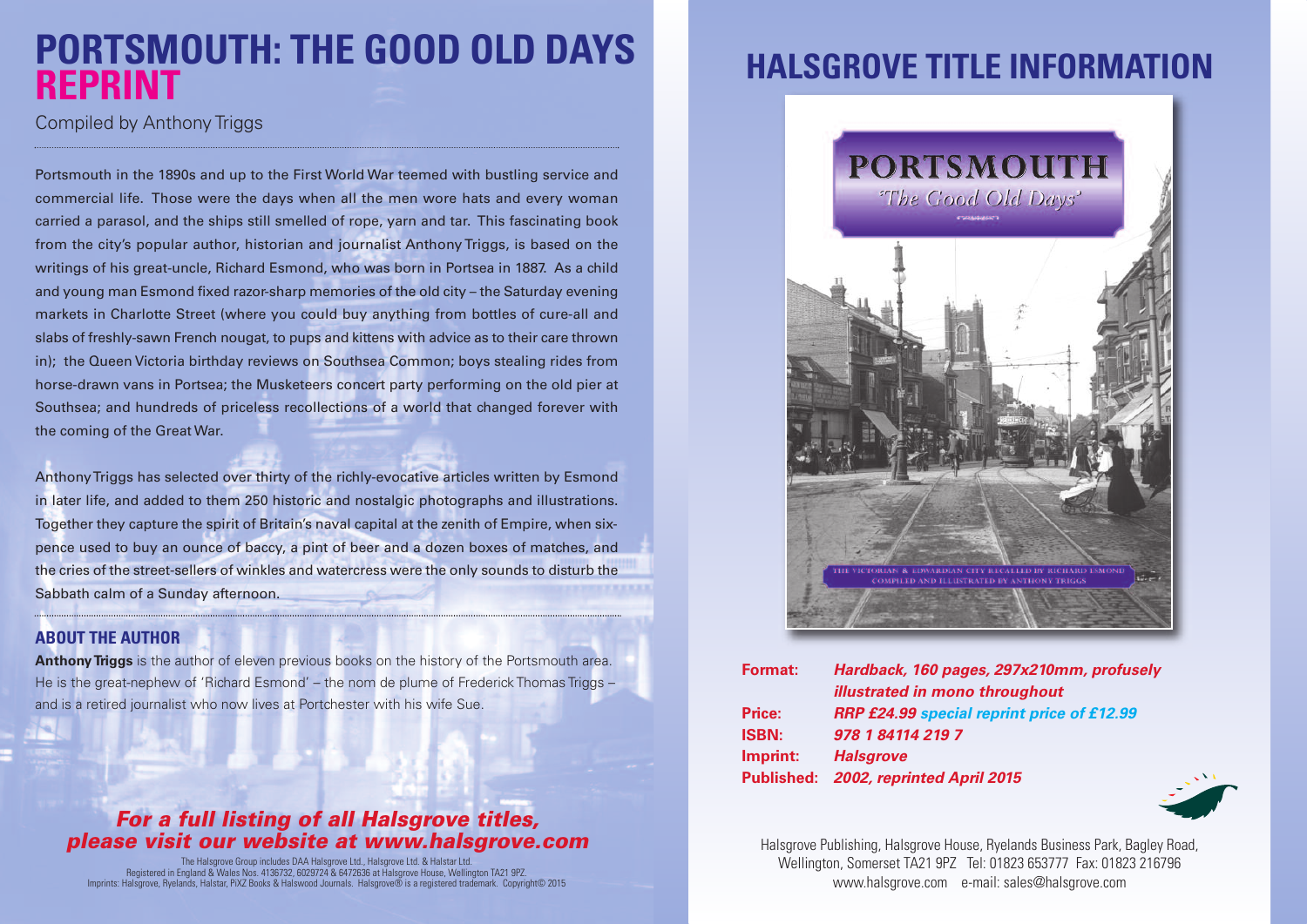## **PORTSMOUTH: THE GOOD OLD DAYS REPRINT**

Compiled by Anthony Triggs

Portsmouth in the 1890s and up to the First World War teemed with bustling service and commercial life. Those were the days when all the men wore hats and every woman carried a parasol, and the ships still smelled of rope, yarn and tar. This fascinating book from the city's popular author, historian and journalist Anthony Triggs, is based on the writings of his great-uncle, Richard Esmond, who was born in Portsea in 1887. As a child and young man Esmond fixed razor-sharp memories of the old city – the Saturday evening markets in Charlotte Street (where you could buy anything from bottles of cure-all and slabs of freshly-sawn French nougat, to pups and kittens with advice as to their care thrown in); the Queen Victoria birthday reviews on Southsea Common; boys stealing rides from horse-drawn vans in Portsea; the Musketeers concert party performing on the old pier at Southsea; and hundreds of priceless recollections of a world that changed forever with the coming of the Great War.

AnthonyTriggs has selected over thirty of the richly-evocative articles written by Esmond in later life, and added to them 250 historic and nostalgic photographs and illustrations. Together they capture the spirit of Britain's naval capital at the zenith of Empire, when sixpence used to buy an ounce of baccy, a pint of beer and a dozen boxes of matches, and the cries of the street-sellers of winkles and watercress were the only sounds to disturb the Sabbath calm of a Sunday afternoon.

#### **ABOUT THE AUTHOR**

**Anthony Triggs** is the author of eleven previous books on the history of the Portsmouth area. He is the great-nephew of 'Richard Esmond' – the nom de plume of Frederick Thomas Triggs – and is a retired journalist who now lives at Portchester with his wife Sue.

### *For a full listing of all Halsgrove titles, please visit our website at www.halsgrove.com*

The Halsgrove Group includes DAA Halsgrove Ltd., Halsgrove Ltd. & Halstar Ltd. Registered in England & Wales Nos. 4136732, 6029724 & 6472636 at Halsgrove House, Wellington TA21 9PZ. Imprints: Halsgrove, Ryelands, Halstar, PiXZ Books & Halswood Journals. Halsgrove® is a registered trademark. Copyright© 2015

## **HALSGROVE TITLE INFORMATION**



| <b>Format:</b> | Hardback, 160 pages, 297x210mm, profusely         |
|----------------|---------------------------------------------------|
|                | illustrated in mono throughout                    |
| Price:         | <b>RRP £24.99 special reprint price of £12.99</b> |
| <b>ISBN:</b>   | 978 1 84114 219 7                                 |
| Imprint:       | <b>Halsgrove</b>                                  |
|                | Published: 2002, reprinted April 2015             |
|                |                                                   |



Halsgrove Publishing, Halsgrove House, Ryelands Business Park, Bagley Road, Wellington, Somerset TA21 9PZ Tel: 01823 653777 Fax: 01823 216796 www.halsgrove.com e-mail: sales@halsgrove.com